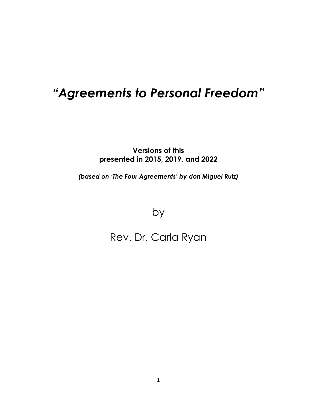# *"Agreements to Personal Freedom"*

**Versions of this presented in 2015, 2019, and 2022**

*(based on 'The Four Agreements' by don Miguel Ruiz)*

by

Rev. Dr. Carla Ryan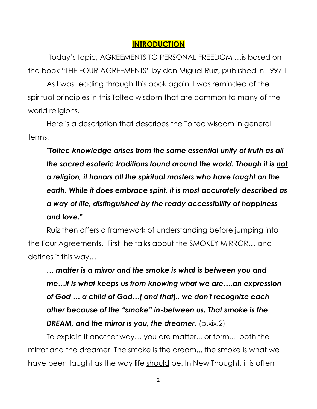#### **INTRODUCTION**

Today's topic, AGREEMENTS TO PERSONAL FREEDOM …is based on the book "THE FOUR AGREEMENTS" by don Miguel Ruiz, published in 1997 !

As I was reading through this book again, I was reminded of the spiritual principles in this Toltec wisdom that are common to many of the world religions.

Here is a description that describes the Toltec wisdom in general terms:

*"Toltec knowledge arises from the same essential unity of truth as all the sacred esoteric traditions found around the world. Though it is not a religion, it honors all the spiritual masters who have taught on the earth. While it does embrace spirit, it is most accurately described as a way of life, distinguished by the ready accessibility of happiness and love."*

Ruiz then offers a framework of understanding before jumping into the Four Agreements. First, he talks about the SMOKEY MIRROR… and defines it this way…

*… matter is a mirror and the smoke is what is between you and me…it is what keeps us from knowing what we are….an expression of God … a child of God…[ and that].. we don't recognize each other because of the "smoke" in-between us. That smoke is the*  **DREAM, and the mirror is you, the dreamer.** (p.xix.2)

To explain it another way… you are matter... or form... both the mirror and the dreamer. The smoke is the dream... the smoke is what we have been taught as the way life should be. In New Thought, it is often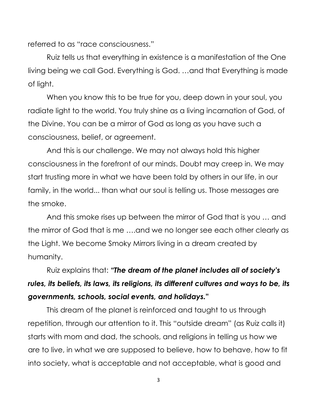referred to as "race consciousness."

Ruiz tells us that everything in existence is a manifestation of the One living being we call God. Everything is God. …and that Everything is made of light.

When you know this to be true for you, deep down in your soul, you radiate light to the world. You truly shine as a living incarnation of God, of the Divine. You can be a mirror of God as long as you have such a consciousness, belief, or agreement.

And this is our challenge. We may not always hold this higher consciousness in the forefront of our minds. Doubt may creep in. We may start trusting more in what we have been told by others in our life, in our family, in the world... than what our soul is telling us. Those messages are the smoke.

And this smoke rises up between the mirror of God that is you … and the mirror of God that is me ….and we no longer see each other clearly as the Light. We become Smoky Mirrors living in a dream created by humanity.

Ruiz explains that: *"The dream of the planet includes all of society's rules, its beliefs, its laws, its religions, its different cultures and ways to be, its governments, schools, social events, and holidays."*

This dream of the planet is reinforced and taught to us through repetition, through our attention to it. This "outside dream" (as Ruiz calls it) starts with mom and dad, the schools, and religions in telling us how we are to live, in what we are supposed to believe, how to behave, how to fit into society, what is acceptable and not acceptable, what is good and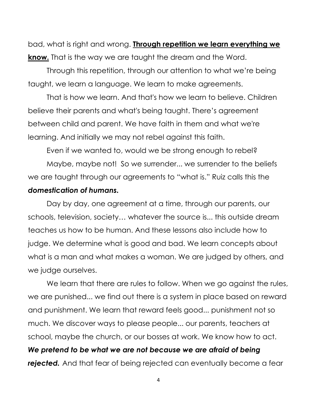bad, what is right and wrong. **Through repetition we learn everything we know.** That is the way we are taught the dream and the Word.

Through this repetition, through our attention to what we're being taught, we learn a language. We learn to make agreements.

That is how we learn. And that's how we learn to believe. Children believe their parents and what's being taught. There's agreement between child and parent. We have faith in them and what we're learning. And initially we may not rebel against this faith.

Even if we wanted to, would we be strong enough to rebel? Maybe, maybe not! So we surrender... we surrender to the beliefs we are taught through our agreements to "what is." Ruiz calls this the *domestication of humans.*

Day by day, one agreement at a time, through our parents, our schools, television, society… whatever the source is... this outside dream teaches us how to be human. And these lessons also include how to judge. We determine what is good and bad. We learn concepts about what is a man and what makes a woman. We are judged by others, and we judge ourselves.

We learn that there are rules to follow. When we go against the rules, we are punished... we find out there is a system in place based on reward and punishment. We learn that reward feels good... punishment not so much. We discover ways to please people... our parents, teachers at school, maybe the church, or our bosses at work. We know how to act. *We pretend to be what we are not because we are afraid of being* 

*rejected.* And that fear of being rejected can eventually become a fear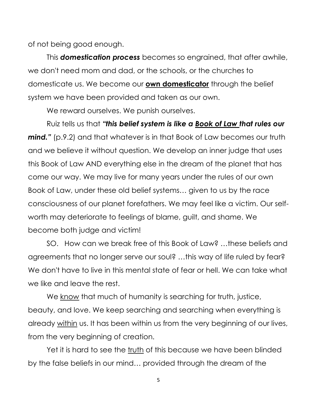of not being good enough.

This *domestication process* becomes so engrained, that after awhile, we don't need mom and dad, or the schools, or the churches to domesticate us. We become our **own domesticator** through the belief system we have been provided and taken as our own.

We reward ourselves. We punish ourselves.

Ruiz tells us that *"this belief system is like a Book of Law that rules our mind.*" (p.9.2) and that whatever is in that Book of Law becomes our truth and we believe it without question. We develop an inner judge that uses this Book of Law AND everything else in the dream of the planet that has come our way. We may live for many years under the rules of our own Book of Law, under these old belief systems… given to us by the race consciousness of our planet forefathers. We may feel like a victim. Our selfworth may deteriorate to feelings of blame, guilt, and shame. We become both judge and victim!

SO. How can we break free of this Book of Law? …these beliefs and agreements that no longer serve our soul? …this way of life ruled by fear? We don't have to live in this mental state of fear or hell. We can take what we like and leave the rest.

We know that much of humanity is searching for truth, justice, beauty, and love. We keep searching and searching when everything is already within us. It has been within us from the very beginning of our lives, from the very beginning of creation.

Yet it is hard to see the truth of this because we have been blinded by the false beliefs in our mind… provided through the dream of the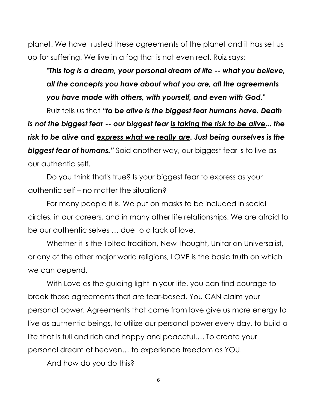planet. We have trusted these agreements of the planet and it has set us up for suffering. We live in a fog that is not even real. Ruiz says:

*"This fog is a dream, your personal dream of life -- what you believe, all the concepts you have about what you are, all the agreements you have made with others, with yourself, and even with God."*

Ruiz tells us that *"to be alive is the biggest fear humans have. Death is not the biggest fear -- our biggest fear is taking the risk to be alive... the risk to be alive and express what we really are. Just being ourselves is the biggest fear of humans."* Said another way, our biggest fear is to live as our authentic self.

Do you think that's true? Is your biggest fear to express as your authentic self – no matter the situation?

For many people it is. We put on masks to be included in social circles, in our careers, and in many other life relationships. We are afraid to be our authentic selves … due to a lack of love.

Whether it is the Toltec tradition, New Thought, Unitarian Universalist, or any of the other major world religions, LOVE is the basic truth on which we can depend.

With Love as the guiding light in your life, you can find courage to break those agreements that are fear-based. You CAN claim your personal power. Agreements that come from love give us more energy to live as authentic beings, to utilize our personal power every day, to build a life that is full and rich and happy and peaceful…. To create your personal dream of heaven… to experience freedom as YOU!

And how do you do this?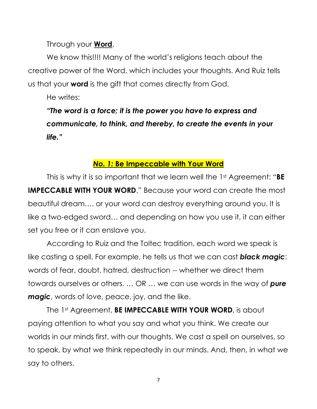### Through your **Word**.

We know this!!!! Many of the world's religions teach about the creative power of the Word, which includes your thoughts. And Ruiz tells us that your **word** is the gift that comes directly from God.

He writes:

*"The word is a force; it is the power you have to express and communicate, to think, and thereby, to create the events in your life."*

## *No. 1:* **Be Impeccable with Your Word**

This is why it is so important that we learn well the 1st Agreement: "**BE IMPECCABLE WITH YOUR WORD.**" Because your word can create the most beautiful dream…. or your word can destroy everything around you. It is like a two-edged sword… and depending on how you use it, it can either set you free or it can enslave you.

According to Ruiz and the Toltec tradition, each word we speak is like casting a spell. For example, he tells us that we can cast *black magic*: words of fear, doubt, hatred, destruction -- whether we direct them towards ourselves or others. … OR … we can use words in the way of *pure magic*, words of love, peace, joy, and the like.

The 1st Agreement, **BE IMPECCABLE WITH YOUR WORD**, is about paying attention to what you say and what you think. We create our worlds in our minds first, with our thoughts. We cast a spell on ourselves, so to speak, by what we think repeatedly in our minds. And, then, in what we say to others.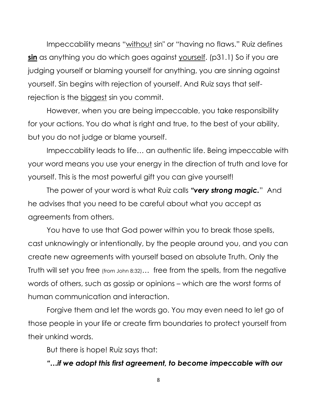Impeccability means "without sin" or "having no flaws." Ruiz defines **sin** as anything you do which goes against yourself. (p31.1) So if you are judging yourself or blaming yourself for anything, you are sinning against yourself. Sin begins with rejection of yourself. And Ruiz says that selfrejection is the biggest sin you commit.

However, when you are being impeccable, you take responsibility for your actions. You do what is right and true, to the best of your ability, but you do not judge or blame yourself.

Impeccability leads to life… an authentic life. Being impeccable with your word means you use your energy in the direction of truth and love for yourself. This is the most powerful gift you can give yourself!

The power of your word is what Ruiz calls *"very strong magic.*" And he advises that you need to be careful about what you accept as agreements from others.

You have to use that God power within you to break those spells, cast unknowingly or intentionally, by the people around you, and you can create new agreements with yourself based on absolute Truth. Only the Truth will set you free (from John 8:32)… free from the spells, from the negative words of others, such as gossip or opinions – which are the worst forms of human communication and interaction.

Forgive them and let the words go. You may even need to let go of those people in your life or create firm boundaries to protect yourself from their unkind words.

But there is hope! Ruiz says that:

*"…if we adopt this first agreement, to become impeccable with our*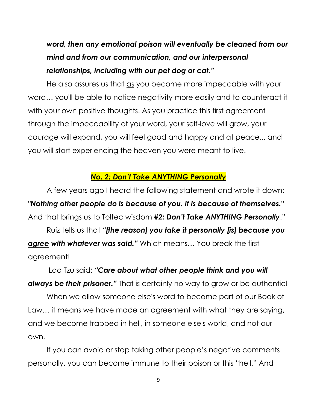# *word, then any emotional poison will eventually be cleaned from our mind and from our communication, and our interpersonal relationships, including with our pet dog or cat."*

He also assures us that as you become more impeccable with your word… you'll be able to notice negativity more easily and to counteract it with your own positive thoughts. As you practice this first agreement through the impeccability of your word, your self-love will grow, your courage will expand, you will feel good and happy and at peace... and you will start experiencing the heaven you were meant to live.

#### *No. 2: Don't Take ANYTHING Personally*

A few years ago I heard the following statement and wrote it down: *"Nothing other people do is because of you. It is because of themselves."* And that brings us to Toltec wisdom *#2: Don't Take ANYTHING Personally*." Ruiz tells us that *"[the reason] you take it personally [is] because you agree with whatever was said."* Which means… You break the first

agreement!

Lao Tzu said: *"Care about what other people think and you will always be their prisoner."* That is certainly no way to grow or be authentic!

When we allow someone else's word to become part of our Book of Law… it means we have made an agreement with what they are saying, and we become trapped in hell, in someone else's world, and not our own.

If you can avoid or stop taking other people's negative comments personally, you can become immune to their poison or this "hell." And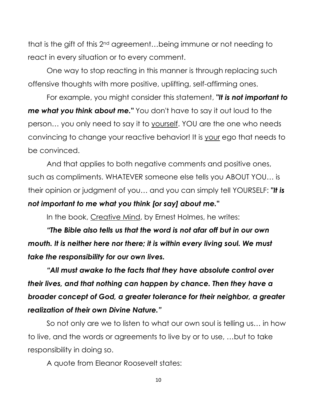that is the gift of this 2nd agreement…being immune or not needing to react in every situation or to every comment.

One way to stop reacting in this manner is through replacing such offensive thoughts with more positive, uplifting, self-affirming ones.

For example, you might consider this statement, *"It is not important to me what you think about me."* You don't have to say it out loud to the person… you only need to say it to yourself. YOU are the one who needs convincing to change your reactive behavior! It is your ego that needs to be convinced.

And that applies to both negative comments and positive ones, such as compliments. WHATEVER someone else tells you ABOUT YOU… is their opinion or judgment of you… and you can simply tell YOURSELF: *"It is not important to me what you think [or say] about me."*

In the book, Creative Mind, by Ernest Holmes, he writes:

*"The Bible also tells us that the word is not afar off but in our own mouth. It is neither here nor there; it is within every living soul. We must take the responsibility for our own lives.* 

*"All must awake to the facts that they have absolute control over their lives, and that nothing can happen by chance. Then they have a broader concept of God, a greater tolerance for their neighbor, a greater realization of their own Divine Nature."*

So not only are we to listen to what our own soul is telling us… in how to live, and the words or agreements to live by or to use, …but to take responsibility in doing so.

A quote from Eleanor Roosevelt states: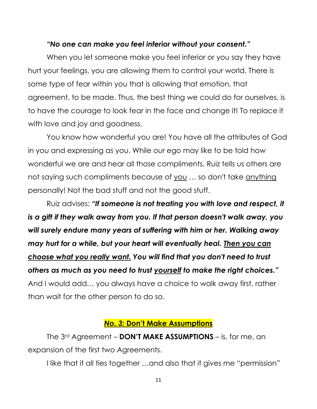#### *"No one can make you feel inferior without your consent."*

When you let someone make you feel inferior or you say they have hurt your feelings, you are allowing them to control your world. There is some type of fear within you that is allowing that emotion, that agreement, to be made. Thus, the best thing we could do for ourselves, is to have the courage to look fear in the face and change it! To replace it with love and joy and goodness.

You know how wonderful you are! You have all the attributes of God in you and expressing as you. While our ego may like to be told how wonderful we are and hear all those compliments, Ruiz tells us others are not saying such compliments because of you ... so don't take anything personally! Not the bad stuff and not the good stuff.

Ruiz advises: *"If someone is not treating you with love and respect, it is a gift if they walk away from you. If that person doesn't walk away, you will surely endure many years of suffering with him or her. Walking away may hurt for a while, but your heart will eventually heal. Then you can choose what you really want. You will find that you don't need to trust others as much as you need to trust yourself to make the right choices."* And I would add… you always have a choice to walk away first, rather than wait for the other person to do so.

#### *No. 3:* **Don't Make Assumptions**

The 3rd Agreement – **DON'T MAKE ASSUMPTIONS** – is, for me, an expansion of the first two Agreements.

I like that it all ties together …and also that it gives me "permission"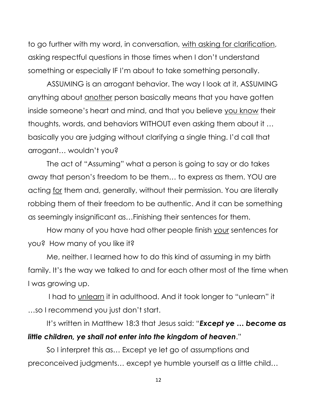to go further with my word, in conversation, with asking for clarification, asking respectful questions in those times when I don't understand something or especially IF I'm about to take something personally.

ASSUMING is an arrogant behavior. The way I look at it, ASSUMING anything about another person basically means that you have gotten inside someone's heart and mind, and that you believe you know their thoughts, words, and behaviors WITHOUT even asking them about it … basically you are judging without clarifying a single thing. I'd call that arrogant… wouldn't you?

The act of "Assuming" what a person is going to say or do takes away that person's freedom to be them… to express as them. YOU are acting for them and, generally, without their permission. You are literally robbing them of their freedom to be authentic. And it can be something as seemingly insignificant as…Finishing their sentences for them.

How many of you have had other people finish your sentences for you? How many of you like it?

Me, neither. I learned how to do this kind of assuming in my birth family. It's the way we talked to and for each other most of the time when I was growing up.

I had to unlearn it in adulthood. And it took longer to "unlearn" it …so I recommend you just don't start.

It's written in Matthew 18:3 that Jesus said: "*Except ye … become as little children, ye shall not enter into the kingdom of heaven*."

So I interpret this as… Except ye let go of assumptions and preconceived judgments… except ye humble yourself as a little child…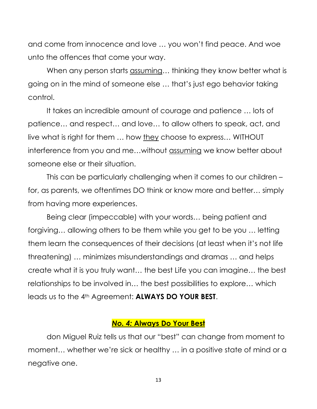and come from innocence and love … you won't find peace. And woe unto the offences that come your way.

When any person starts assuming... thinking they know better what is going on in the mind of someone else … that's just ego behavior taking control.

It takes an incredible amount of courage and patience … lots of patience… and respect… and love… to allow others to speak, act, and live what is right for them … how they choose to express… WITHOUT interference from you and me…without assuming we know better about someone else or their situation.

This can be particularly challenging when it comes to our children – for, as parents, we oftentimes DO think or know more and better… simply from having more experiences.

Being clear (impeccable) with your words… being patient and forgiving… allowing others to be them while you get to be you … letting them learn the consequences of their decisions (at least when it's not life threatening) … minimizes misunderstandings and dramas … and helps create what it is you truly want… the best Life you can imagine… the best relationships to be involved in… the best possibilities to explore… which leads us to the 4th Agreement: **ALWAYS DO YOUR BEST**.

#### *No. 4:* **Always Do Your Best**

don Miguel Ruiz tells us that our "best" can change from moment to moment… whether we're sick or healthy … in a positive state of mind or a negative one.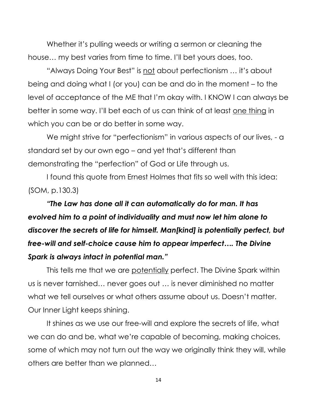Whether it's pulling weeds or writing a sermon or cleaning the house… my best varies from time to time. I'll bet yours does, too.

"Always Doing Your Best" is not about perfectionism ... it's about being and doing what I (or you) can be and do in the moment – to the level of acceptance of the ME that I'm okay with. I KNOW I can always be better in some way. I'll bet each of us can think of at least one thing in which you can be or do better in some way.

We might strive for "perfectionism" in various aspects of our lives, - a standard set by our own ego – and yet that's different than demonstrating the "perfection" of God or Life through us.

I found this quote from Ernest Holmes that fits so well with this idea: (SOM, p.130.3)

*"The Law has done all it can automatically do for man. It has evolved him to a point of individuality and must now let him alone to discover the secrets of life for himself. Man[kind] is potentially perfect, but free-will and self-choice cause him to appear imperfect…. The Divine Spark is always intact in potential man."*

This tells me that we are potentially perfect. The Divine Spark within us is never tarnished… never goes out … is never diminished no matter what we tell ourselves or what others assume about us. Doesn't matter. Our Inner Light keeps shining.

It shines as we use our free-will and explore the secrets of life, what we can do and be, what we're capable of becoming, making choices, some of which may not turn out the way we originally think they will, while others are better than we planned…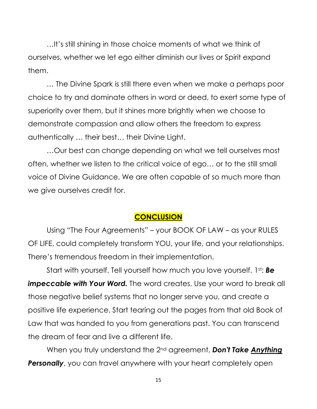…It's still shining in those choice moments of what we think of ourselves, whether we let ego either diminish our lives or Spirit expand them.

… The Divine Spark is still there even when we make a perhaps poor choice to try and dominate others in word or deed, to exert some type of superiority over them, but it shines more brightly when we choose to demonstrate compassion and allow others the freedom to express authentically … their best… their Divine Light.

…Our best can change depending on what we tell ourselves most often, whether we listen to the critical voice of ego… or to the still small voice of Divine Guidance. We are often capable of so much more than we give ourselves credit for.

#### **CONCLUSION**

Using "The Four Agreements" – your BOOK OF LAW – as your RULES OF LIFE, could completely transform YOU, your life, and your relationships. There's tremendous freedom in their implementation.

Start with yourself. Tell yourself how much you love yourself. 1st: *Be impeccable with Your Word.* The word creates. Use your word to break all those negative belief systems that no longer serve you, and create a positive life experience. Start tearing out the pages from that old Book of Law that was handed to you from generations past. You can transcend the dream of fear and live a different life.

When you truly understand the 2nd agreement, *Don't Take Anything* **Personally**, you can travel anywhere with your heart completely open